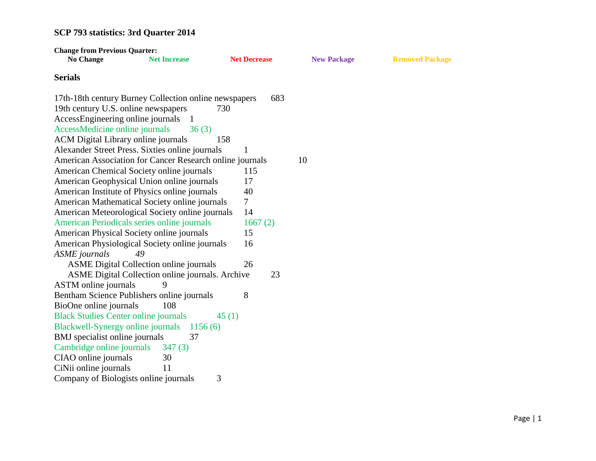| <b>Change from Previous Quarter:</b>                     |                                                  |                     |                    |                        |
|----------------------------------------------------------|--------------------------------------------------|---------------------|--------------------|------------------------|
| <b>No Change</b>                                         | <b>Net Increase</b>                              | <b>Net Decrease</b> | <b>New Package</b> | <b>Removed Package</b> |
| <b>Serials</b>                                           |                                                  |                     |                    |                        |
| 17th-18th century Burney Collection online newspapers    |                                                  | 683                 |                    |                        |
| 19th century U.S. online newspapers                      |                                                  | 730                 |                    |                        |
| AccessEngineering online journals                        |                                                  |                     |                    |                        |
| AccessMedicine online journals                           | 36(3)                                            |                     |                    |                        |
| ACM Digital Library online journals                      |                                                  | 158                 |                    |                        |
| Alexander Street Press. Sixties online journals          |                                                  | $\mathbf{1}$        |                    |                        |
| American Association for Cancer Research online journals |                                                  |                     | 10                 |                        |
| American Chemical Society online journals                |                                                  | 115                 |                    |                        |
| American Geophysical Union online journals               |                                                  | 17                  |                    |                        |
| American Institute of Physics online journals            |                                                  | 40                  |                    |                        |
| American Mathematical Society online journals            |                                                  | $\tau$              |                    |                        |
| American Meteorological Society online journals          |                                                  | 14                  |                    |                        |
| American Periodicals series online journals              |                                                  | 1667(2)             |                    |                        |
| American Physical Society online journals                |                                                  | 15                  |                    |                        |
| American Physiological Society online journals           |                                                  | 16                  |                    |                        |
| <b>ASME</b> journals                                     | 49                                               |                     |                    |                        |
|                                                          | <b>ASME Digital Collection online journals</b>   | 26                  |                    |                        |
|                                                          | ASME Digital Collection online journals. Archive | 23                  |                    |                        |
| <b>ASTM</b> online journals                              | 9                                                |                     |                    |                        |
| Bentham Science Publishers online journals               |                                                  | 8                   |                    |                        |
| BioOne online journals                                   | 108                                              |                     |                    |                        |
| <b>Black Studies Center online journals</b>              |                                                  | 45(1)               |                    |                        |
| Blackwell-Synergy online journals                        | 1156(6)                                          |                     |                    |                        |
| BMJ specialist online journals                           | 37                                               |                     |                    |                        |
| Cambridge online journals                                | 347(3)                                           |                     |                    |                        |
| CIAO online journals                                     | 30                                               |                     |                    |                        |
| CiNii online journals                                    | 11                                               |                     |                    |                        |
| Company of Biologists online journals                    |                                                  | 3                   |                    |                        |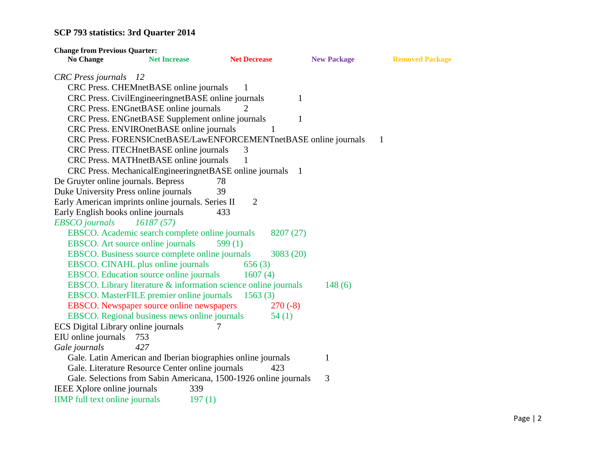| <b>Change from Previous Quarter:</b>               |                                                    |                                                                  |                    |                        |
|----------------------------------------------------|----------------------------------------------------|------------------------------------------------------------------|--------------------|------------------------|
| <b>No Change</b>                                   | <b>Net Increase</b>                                | <b>Net Decrease</b>                                              | <b>New Package</b> | <b>Removed Package</b> |
| <b>CRC</b> Press journals 12                       |                                                    |                                                                  |                    |                        |
|                                                    | CRC Press. CHEMnetBASE online journals             | 1                                                                |                    |                        |
|                                                    | CRC Press. CivilEngineeringnetBASE online journals |                                                                  | 1                  |                        |
|                                                    | CRC Press. ENGnetBASE online journals              |                                                                  |                    |                        |
|                                                    | CRC Press. ENGnetBASE Supplement online journals   |                                                                  | 1                  |                        |
|                                                    | CRC Press. ENVIROnetBASE online journals           | 1                                                                |                    |                        |
|                                                    |                                                    | CRC Press. FORENSICnetBASE/LawENFORCEMENTnetBASE online journals |                    | $\mathbf{1}$           |
|                                                    | CRC Press. ITECHnetBASE online journals            | 3                                                                |                    |                        |
|                                                    | CRC Press. MATHnetBASE online journals             |                                                                  |                    |                        |
|                                                    |                                                    | CRC Press. MechanicalEngineeringnetBASE online journals 1        |                    |                        |
| De Gruyter online journals. Bepress                |                                                    | 78                                                               |                    |                        |
| Duke University Press online journals              |                                                    | 39                                                               |                    |                        |
| Early American imprints online journals. Series II |                                                    | $\overline{2}$                                                   |                    |                        |
| Early English books online journals                |                                                    | 433                                                              |                    |                        |
| <b>EBSCO</b> journals                              | 16187(57)                                          |                                                                  |                    |                        |
|                                                    | EBSCO. Academic search complete online journals    | 8207 (27)                                                        |                    |                        |
| EBSCO. Art source online journals                  |                                                    | 599 $(1)$                                                        |                    |                        |
|                                                    | EBSCO. Business source complete online journals    | 3083(20)                                                         |                    |                        |
|                                                    | EBSCO. CINAHL plus online journals                 | 656(3)                                                           |                    |                        |
|                                                    | EBSCO. Education source online journals            | 1607(4)                                                          |                    |                        |
|                                                    |                                                    | EBSCO. Library literature & information science online journals  | 148(6)             |                        |
|                                                    | EBSCO. MasterFILE premier online journals          | 1563(3)                                                          |                    |                        |
|                                                    | EBSCO. Newspaper source online newspapers          | $270(-8)$                                                        |                    |                        |
|                                                    | EBSCO. Regional business news online journals      | 54(1)                                                            |                    |                        |
| ECS Digital Library online journals                |                                                    |                                                                  |                    |                        |
| EIU online journals                                | 753                                                |                                                                  |                    |                        |
| Gale journals                                      | 427                                                |                                                                  |                    |                        |
|                                                    |                                                    | Gale. Latin American and Iberian biographies online journals     | $\mathbf{1}$       |                        |
|                                                    | Gale. Literature Resource Center online journals   | 423                                                              |                    |                        |
|                                                    |                                                    | Gale. Selections from Sabin Americana, 1500-1926 online journals | 3                  |                        |
| IEEE Xplore online journals                        | 339                                                |                                                                  |                    |                        |
| <b>IIMP</b> full text online journals              | 197(1)                                             |                                                                  |                    |                        |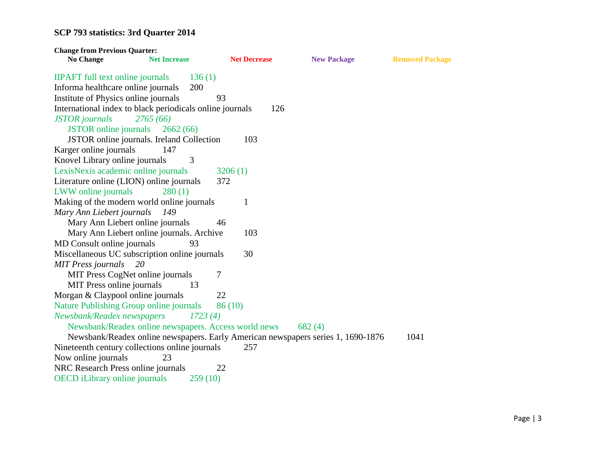| <b>Change from Previous Quarter:</b>                     |                     |                     |                                                                                  |                        |
|----------------------------------------------------------|---------------------|---------------------|----------------------------------------------------------------------------------|------------------------|
| <b>No Change</b>                                         | <b>Net Increase</b> | <b>Net Decrease</b> | <b>New Package</b>                                                               | <b>Removed Package</b> |
| <b>IIPAFT</b> full text online journals                  | 136(1)              |                     |                                                                                  |                        |
| Informa healthcare online journals                       | 200                 |                     |                                                                                  |                        |
| Institute of Physics online journals                     | 93                  |                     |                                                                                  |                        |
| International index to black periodicals online journals |                     | 126                 |                                                                                  |                        |
| <b>JSTOR</b> journals                                    | 2765(66)            |                     |                                                                                  |                        |
| <b>JSTOR</b> online journals                             | 2662(66)            |                     |                                                                                  |                        |
| JSTOR online journals. Ireland Collection                |                     | 103                 |                                                                                  |                        |
| Karger online journals                                   | 147                 |                     |                                                                                  |                        |
| Knovel Library online journals                           | 3                   |                     |                                                                                  |                        |
| LexisNexis academic online journals                      |                     | 3206(1)             |                                                                                  |                        |
| Literature online (LION) online journals                 |                     | 372                 |                                                                                  |                        |
| LWW online journals                                      | 280(1)              |                     |                                                                                  |                        |
| Making of the modern world online journals               |                     | $\mathbf{1}$        |                                                                                  |                        |
| Mary Ann Liebert journals                                | 149                 |                     |                                                                                  |                        |
| Mary Ann Liebert online journals                         | 46                  |                     |                                                                                  |                        |
| Mary Ann Liebert online journals. Archive                |                     | 103                 |                                                                                  |                        |
| MD Consult online journals                               | 93                  |                     |                                                                                  |                        |
| Miscellaneous UC subscription online journals            |                     | 30                  |                                                                                  |                        |
| <b>MIT Press journals</b><br>20                          |                     |                     |                                                                                  |                        |
| MIT Press CogNet online journals                         | 7                   |                     |                                                                                  |                        |
| MIT Press online journals                                | 13                  |                     |                                                                                  |                        |
| Morgan & Claypool online journals                        |                     | 22                  |                                                                                  |                        |
| <b>Nature Publishing Group online journals</b>           |                     | 86(10)              |                                                                                  |                        |
| Newsbank/Readex newspapers                               | 1723(4)             |                     |                                                                                  |                        |
| Newsbank/Readex online newspapers. Access world news     |                     |                     | 682(4)                                                                           |                        |
|                                                          |                     |                     | Newsbank/Readex online newspapers. Early American newspapers series 1, 1690-1876 | 1041                   |
| Nineteenth century collections online journals           |                     | 257                 |                                                                                  |                        |
| Now online journals                                      | 23                  |                     |                                                                                  |                        |
| NRC Research Press online journals                       | 22                  |                     |                                                                                  |                        |
| <b>OECD</b> iLibrary online journals                     | 259(10)             |                     |                                                                                  |                        |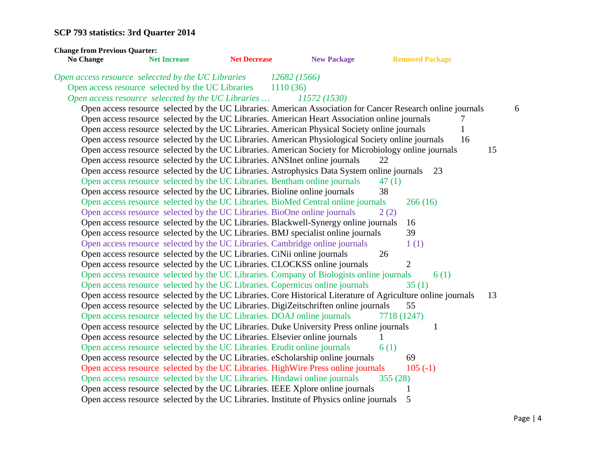| <b>Change from Previous Quarter:</b><br>No Change  | <b>Net Increase</b> | <b>Net Decrease</b> | <b>New Package</b>                                                                                           | <b>Removed Package</b> |      |    |
|----------------------------------------------------|---------------------|---------------------|--------------------------------------------------------------------------------------------------------------|------------------------|------|----|
| Open access resource seleccted by the UC Libraries |                     |                     | 12682 (1566)                                                                                                 |                        |      |    |
| Open access resource selected by the UC Libraries  |                     |                     | 1110(36)                                                                                                     |                        |      |    |
| Open access resource seleccted by the UC Libraries |                     |                     | 11572 (1530)                                                                                                 |                        |      |    |
|                                                    |                     |                     | Open access resource selected by the UC Libraries. American Association for Cancer Research online journals  |                        |      | 6  |
|                                                    |                     |                     | Open access resource selected by the UC Libraries. American Heart Association online journals                |                        | 7    |    |
|                                                    |                     |                     | Open access resource selected by the UC Libraries. American Physical Society online journals                 |                        | 1    |    |
|                                                    |                     |                     | Open access resource selected by the UC Libraries. American Physiological Society online journals            |                        | 16   |    |
|                                                    |                     |                     | Open access resource selected by the UC Libraries. American Society for Microbiology online journals         |                        |      | 15 |
|                                                    |                     |                     | Open access resource selected by the UC Libraries. ANSInet online journals                                   | 22                     |      |    |
|                                                    |                     |                     | Open access resource selected by the UC Libraries. Astrophysics Data System online journals                  |                        | 23   |    |
|                                                    |                     |                     | Open access resource selected by the UC Libraries. Bentham online journals                                   | 47(1)                  |      |    |
|                                                    |                     |                     | Open access resource selected by the UC Libraries. Bioline online journals                                   | 38                     |      |    |
|                                                    |                     |                     | Open access resource selected by the UC Libraries. BioMed Central online journals                            | 266(16)                |      |    |
|                                                    |                     |                     | Open access resource selected by the UC Libraries. BioOne online journals                                    | 2(2)                   |      |    |
|                                                    |                     |                     | Open access resource selected by the UC Libraries. Blackwell-Synergy online journals                         | 16                     |      |    |
|                                                    |                     |                     | Open access resource selected by the UC Libraries. BMJ specialist online journals                            | 39                     |      |    |
|                                                    |                     |                     | Open access resource selected by the UC Libraries. Cambridge online journals                                 | 1(1)                   |      |    |
|                                                    |                     |                     | Open access resource selected by the UC Libraries. CiNii online journals                                     | 26                     |      |    |
|                                                    |                     |                     | Open access resource selected by the UC Libraries. CLOCKSS online journals                                   | $\overline{2}$         |      |    |
|                                                    |                     |                     | Open access resource selected by the UC Libraries. Company of Biologists online journals                     |                        | 6(1) |    |
|                                                    |                     |                     | Open access resource selected by the UC Libraries. Copernicus online journals                                | 35(1)                  |      |    |
|                                                    |                     |                     | Open access resource selected by the UC Libraries. Core Historical Literature of Agriculture online journals |                        |      | 13 |
|                                                    |                     |                     | Open access resource selected by the UC Libraries. DigiZeitschriften online journals                         | 55                     |      |    |
|                                                    |                     |                     | Open access resource selected by the UC Libraries. DOAJ online journals                                      | 7718 (1247)            |      |    |
|                                                    |                     |                     | Open access resource selected by the UC Libraries. Duke University Press online journals                     |                        | 1    |    |
|                                                    |                     |                     | Open access resource selected by the UC Libraries. Elsevier online journals                                  |                        |      |    |
|                                                    |                     |                     | Open access resource selected by the UC Libraries. Erudit online journals                                    | 6(1)                   |      |    |
|                                                    |                     |                     | Open access resource selected by the UC Libraries. eScholarship online journals                              | 69                     |      |    |
|                                                    |                     |                     | Open access resource selected by the UC Libraries. HighWire Press online journals                            | $105(-1)$              |      |    |
|                                                    |                     |                     | Open access resource selected by the UC Libraries. Hindawi online journals                                   | 355(28)                |      |    |
|                                                    |                     |                     | Open access resource selected by the UC Libraries. IEEE Xplore online journals                               | 1                      |      |    |
|                                                    |                     |                     | Open access resource selected by the UC Libraries. Institute of Physics online journals                      | 5                      |      |    |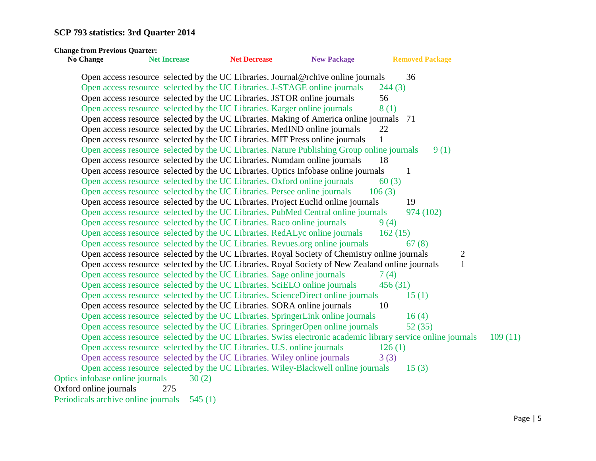| <b>Change from Previous Quarter:</b>                                    |                     |                     |                                                                                                              |         |                        |                |         |
|-------------------------------------------------------------------------|---------------------|---------------------|--------------------------------------------------------------------------------------------------------------|---------|------------------------|----------------|---------|
| <b>No Change</b>                                                        | <b>Net Increase</b> | <b>Net Decrease</b> | <b>New Package</b>                                                                                           |         | <b>Removed Package</b> |                |         |
|                                                                         |                     |                     | Open access resource selected by the UC Libraries. Journal@rchive online journals                            |         | 36                     |                |         |
|                                                                         |                     |                     | Open access resource selected by the UC Libraries. J-STAGE online journals                                   | 244(3)  |                        |                |         |
|                                                                         |                     |                     | Open access resource selected by the UC Libraries. JSTOR online journals                                     | 56      |                        |                |         |
|                                                                         |                     |                     | Open access resource selected by the UC Libraries. Karger online journals                                    | 8(1)    |                        |                |         |
|                                                                         |                     |                     | Open access resource selected by the UC Libraries. Making of America online journals 71                      |         |                        |                |         |
|                                                                         |                     |                     | Open access resource selected by the UC Libraries. MedIND online journals                                    | 22      |                        |                |         |
|                                                                         |                     |                     | Open access resource selected by the UC Libraries. MIT Press online journals                                 | 1       |                        |                |         |
|                                                                         |                     |                     | Open access resource selected by the UC Libraries. Nature Publishing Group online journals                   |         | 9(1)                   |                |         |
|                                                                         |                     |                     | Open access resource selected by the UC Libraries. Numdam online journals                                    | 18      |                        |                |         |
|                                                                         |                     |                     | Open access resource selected by the UC Libraries. Optics Infobase online journals                           |         | $\mathbf{1}$           |                |         |
|                                                                         |                     |                     | Open access resource selected by the UC Libraries. Oxford online journals                                    | 60(3)   |                        |                |         |
|                                                                         |                     |                     | Open access resource selected by the UC Libraries. Persee online journals                                    | 106(3)  |                        |                |         |
|                                                                         |                     |                     | Open access resource selected by the UC Libraries. Project Euclid online journals                            |         | 19                     |                |         |
|                                                                         |                     |                     | Open access resource selected by the UC Libraries. PubMed Central online journals                            |         | 974 (102)              |                |         |
| Open access resource selected by the UC Libraries. Raco online journals |                     |                     |                                                                                                              | 9(4)    |                        |                |         |
|                                                                         |                     |                     | Open access resource selected by the UC Libraries. RedALyc online journals                                   | 162(15) |                        |                |         |
|                                                                         |                     |                     | Open access resource selected by the UC Libraries. Revues.org online journals                                |         | 67(8)                  |                |         |
|                                                                         |                     |                     | Open access resource selected by the UC Libraries. Royal Society of Chemistry online journals                |         |                        | $\overline{c}$ |         |
|                                                                         |                     |                     | Open access resource selected by the UC Libraries. Royal Society of New Zealand online journals              |         |                        | $\mathbf{1}$   |         |
| Open access resource selected by the UC Libraries. Sage online journals |                     |                     |                                                                                                              | 7(4)    |                        |                |         |
|                                                                         |                     |                     | Open access resource selected by the UC Libraries. SciELO online journals                                    | 456(31) |                        |                |         |
|                                                                         |                     |                     | Open access resource selected by the UC Libraries. ScienceDirect online journals                             |         | 15(1)                  |                |         |
|                                                                         |                     |                     | Open access resource selected by the UC Libraries. SORA online journals                                      | 10      |                        |                |         |
|                                                                         |                     |                     | Open access resource selected by the UC Libraries. SpringerLink online journals                              |         | 16(4)                  |                |         |
|                                                                         |                     |                     | Open access resource selected by the UC Libraries. SpringerOpen online journals                              |         | 52(35)                 |                |         |
|                                                                         |                     |                     | Open access resource selected by the UC Libraries. Swiss electronic academic library service online journals |         |                        |                | 109(11) |
| Open access resource selected by the UC Libraries. U.S. online journals |                     |                     |                                                                                                              | 126(1)  |                        |                |         |
|                                                                         |                     |                     | Open access resource selected by the UC Libraries. Wiley online journals                                     | 3(3)    |                        |                |         |
|                                                                         |                     |                     | Open access resource selected by the UC Libraries. Wiley-Blackwell online journals                           |         | 15(3)                  |                |         |
| Optics infobase online journals                                         | 30(2)               |                     |                                                                                                              |         |                        |                |         |
| Oxford online journals                                                  | 275                 |                     |                                                                                                              |         |                        |                |         |
| Periodicals archive online journals                                     | 545(1)              |                     |                                                                                                              |         |                        |                |         |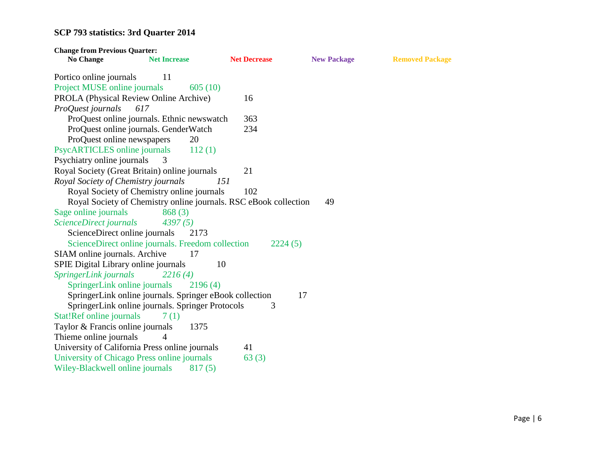| <b>Change from Previous Quarter:</b>        |                                                                  |                     |                    |                        |
|---------------------------------------------|------------------------------------------------------------------|---------------------|--------------------|------------------------|
| <b>No Change</b>                            | <b>Net Increase</b>                                              | <b>Net Decrease</b> | <b>New Package</b> | <b>Removed Package</b> |
| Portico online journals                     | 11                                                               |                     |                    |                        |
| Project MUSE online journals                | 605(10)                                                          |                     |                    |                        |
| PROLA (Physical Review Online Archive)      |                                                                  | 16                  |                    |                        |
| ProQuest journals                           | 617                                                              |                     |                    |                        |
|                                             | ProQuest online journals. Ethnic newswatch                       | 363                 |                    |                        |
|                                             | ProQuest online journals. GenderWatch                            | 234                 |                    |                        |
| ProQuest online newspapers                  | 20                                                               |                     |                    |                        |
| PsycARTICLES online journals                | 112(1)                                                           |                     |                    |                        |
| Psychiatry online journals                  | 3                                                                |                     |                    |                        |
|                                             | Royal Society (Great Britain) online journals                    | 21                  |                    |                        |
| Royal Society of Chemistry journals         | 151                                                              |                     |                    |                        |
|                                             | Royal Society of Chemistry online journals                       | 102                 |                    |                        |
|                                             | Royal Society of Chemistry online journals. RSC eBook collection |                     | 49                 |                        |
| Sage online journals                        | 868(3)                                                           |                     |                    |                        |
| ScienceDirect journals                      | 4397(5)                                                          |                     |                    |                        |
| ScienceDirect online journals               | 2173                                                             |                     |                    |                        |
|                                             | ScienceDirect online journals. Freedom collection                | 2224(5)             |                    |                        |
| SIAM online journals. Archive               | 17                                                               |                     |                    |                        |
| SPIE Digital Library online journals        | 10                                                               |                     |                    |                        |
| SpringerLink journals                       | 2216(4)                                                          |                     |                    |                        |
| SpringerLink online journals                | 2196(4)                                                          |                     |                    |                        |
|                                             | SpringerLink online journals. Springer eBook collection          |                     | 17                 |                        |
|                                             | SpringerLink online journals. Springer Protocols                 | 3                   |                    |                        |
| Stat!Ref online journals                    | 7(1)                                                             |                     |                    |                        |
| Taylor & Francis online journals            | 1375                                                             |                     |                    |                        |
| Thieme online journals                      | 4                                                                |                     |                    |                        |
|                                             | University of California Press online journals                   | 41                  |                    |                        |
| University of Chicago Press online journals |                                                                  | 63(3)               |                    |                        |
| Wiley-Blackwell online journals             | 817(5)                                                           |                     |                    |                        |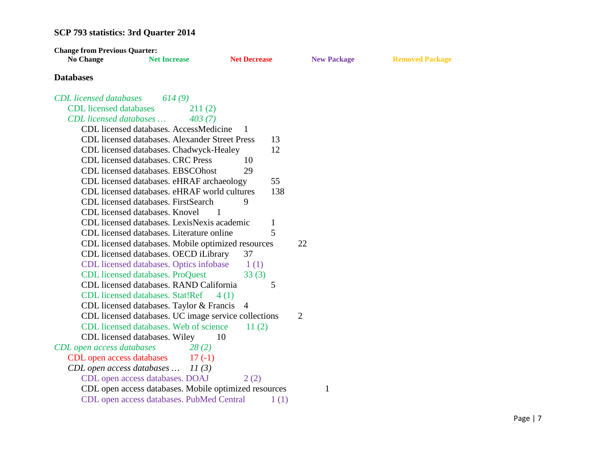| <b>Change from Previous Quarter:</b> |                                                       |                     |              |                    |                        |
|--------------------------------------|-------------------------------------------------------|---------------------|--------------|--------------------|------------------------|
| <b>No Change</b>                     | <b>Net Increase</b>                                   | <b>Net Decrease</b> |              | <b>New Package</b> | <b>Removed Package</b> |
| <b>Databases</b>                     |                                                       |                     |              |                    |                        |
| <b>CDL</b> licensed databases        | 614(9)                                                |                     |              |                    |                        |
| <b>CDL</b> licensed databases        | 211(2)                                                |                     |              |                    |                        |
| CDL licensed databases               | 403(7)                                                |                     |              |                    |                        |
|                                      | CDL licensed databases. AccessMedicine                | -1                  |              |                    |                        |
|                                      | <b>CDL</b> licensed databases. Alexander Street Press |                     | 13           |                    |                        |
|                                      | CDL licensed databases. Chadwyck-Healey               |                     | 12           |                    |                        |
|                                      | <b>CDL</b> licensed databases. CRC Press              | 10                  |              |                    |                        |
|                                      | CDL licensed databases. EBSCOhost                     | 29                  |              |                    |                        |
|                                      | CDL licensed databases. eHRAF archaeology             |                     | 55           |                    |                        |
|                                      | CDL licensed databases. eHRAF world cultures          |                     | 138          |                    |                        |
|                                      | CDL licensed databases. FirstSearch                   | 9                   |              |                    |                        |
|                                      | CDL licensed databases. Knovel                        |                     |              |                    |                        |
|                                      | CDL licensed databases. LexisNexis academic           |                     | $\mathbf{1}$ |                    |                        |
|                                      | CDL licensed databases. Literature online             |                     | 5            |                    |                        |
|                                      | CDL licensed databases. Mobile optimized resources    |                     |              | 22                 |                        |
|                                      | CDL licensed databases. OECD iLibrary                 | 37                  |              |                    |                        |
|                                      | CDL licensed databases. Optics infobase               | 1(1)                |              |                    |                        |
|                                      | CDL licensed databases. ProQuest                      | 33(3)               |              |                    |                        |
|                                      | CDL licensed databases. RAND California               |                     | 5            |                    |                        |
|                                      | CDL licensed databases. Stat!Ref                      | 4(1)                |              |                    |                        |
|                                      | CDL licensed databases. Taylor & Francis              | -4                  |              |                    |                        |
|                                      | CDL licensed databases. UC image service collections  |                     |              | $\overline{2}$     |                        |
|                                      | CDL licensed databases. Web of science                | 11(2)               |              |                    |                        |
|                                      | CDL licensed databases. Wiley                         | 10                  |              |                    |                        |
| CDL open access databases            | 28(2)                                                 |                     |              |                    |                        |
| CDL open access databases            | $17(-1)$                                              |                     |              |                    |                        |
| CDL open access databases            | 11(3)                                                 |                     |              |                    |                        |
|                                      | CDL open access databases. DOAJ                       | 2(2)                |              |                    |                        |
|                                      | CDL open access databases. Mobile optimized resources |                     |              | 1                  |                        |
|                                      | CDL open access databases. PubMed Central             |                     | 1(1)         |                    |                        |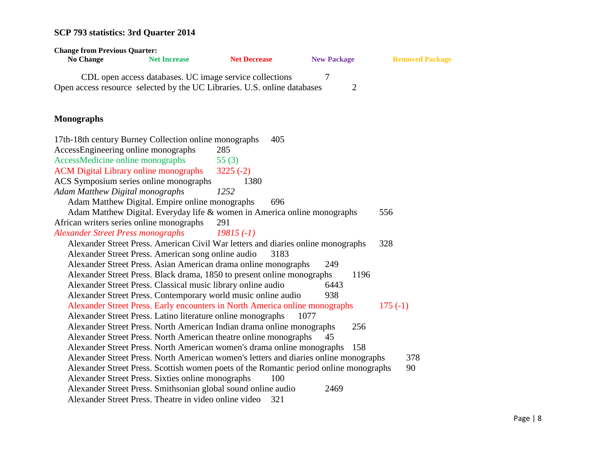| <b>Change from Previous Quarter:</b><br><b>No Change</b>                 | <b>Net Increase</b> | <b>Net Decrease</b>                                                                   |                     |                        |
|--------------------------------------------------------------------------|---------------------|---------------------------------------------------------------------------------------|---------------------|------------------------|
|                                                                          |                     |                                                                                       | <b>New Package</b>  | <b>Removed Package</b> |
| Open access resource selected by the UC Libraries. U.S. online databases |                     | CDL open access databases. UC image service collections                               | 7<br>$\overline{2}$ |                        |
| <b>Monographs</b>                                                        |                     |                                                                                       |                     |                        |
| 17th-18th century Burney Collection online monographs                    |                     | 405                                                                                   |                     |                        |
| AccessEngineering online monographs                                      |                     | 285                                                                                   |                     |                        |
| AccessMedicine online monographs                                         |                     | 55 $(3)$                                                                              |                     |                        |
| <b>ACM Digital Library online monographs</b>                             |                     | $3225(-2)$                                                                            |                     |                        |
| ACS Symposium series online monographs                                   |                     | 1380                                                                                  |                     |                        |
| <b>Adam Matthew Digital monographs</b>                                   |                     | 1252                                                                                  |                     |                        |
| Adam Matthew Digital. Empire online monographs                           |                     | 696                                                                                   |                     |                        |
|                                                                          |                     | Adam Matthew Digital. Everyday life & women in America online monographs              |                     | 556                    |
| African writers series online monographs                                 |                     | 291                                                                                   |                     |                        |
| <b>Alexander Street Press monographs</b>                                 |                     | $19815(-1)$                                                                           |                     |                        |
|                                                                          |                     | Alexander Street Press. American Civil War letters and diaries online monographs      |                     | 328                    |
| Alexander Street Press. American song online audio                       |                     | 3183                                                                                  |                     |                        |
|                                                                          |                     | Alexander Street Press. Asian American drama online monographs                        | 249                 |                        |
|                                                                          |                     | Alexander Street Press. Black drama, 1850 to present online monographs                | 1196                |                        |
|                                                                          |                     | Alexander Street Press. Classical music library online audio                          | 6443                |                        |
|                                                                          |                     | Alexander Street Press. Contemporary world music online audio                         | 938                 |                        |
|                                                                          |                     | Alexander Street Press. Early encounters in North America online monographs           |                     | $175(-1)$              |
|                                                                          |                     | Alexander Street Press. Latino literature online monographs                           | 1077                |                        |
|                                                                          |                     | Alexander Street Press. North American Indian drama online monographs                 | 256                 |                        |
|                                                                          |                     | Alexander Street Press. North American theatre online monographs                      | 45                  |                        |
|                                                                          |                     | Alexander Street Press. North American women's drama online monographs                | 158                 |                        |
|                                                                          |                     | Alexander Street Press. North American women's letters and diaries online monographs  |                     | 378                    |
|                                                                          |                     | Alexander Street Press. Scottish women poets of the Romantic period online monographs |                     | 90                     |
| Alexander Street Press. Sixties online monographs                        |                     | 100                                                                                   |                     |                        |
|                                                                          |                     | Alexander Street Press. Smithsonian global sound online audio                         | 2469                |                        |
| Alexander Street Press. Theatre in video online video                    |                     | 321                                                                                   |                     |                        |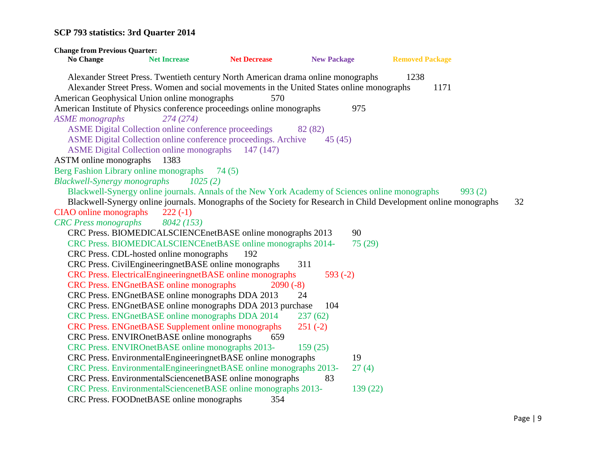**Change from Previous Quarter: No Change Net Increase Net Decrease New Package Removed Package** Alexander Street Press. Twentieth century North American drama online monographs 1238 Alexander Street Press. Women and social movements in the United States online monographs 1171 American Geophysical Union online monographs 570 American Institute of Physics conference proceedings online monographs 975 *ASME monographs 274 (274)* ASME Digital Collection online conference proceedings 82 (82) ASME Digital Collection online conference proceedings. Archive 45 (45) ASME Digital Collection online monographs 147 (147) ASTM online monographs 1383 Berg Fashion Library online monographs 74 (5) *Blackwell-Synergy monographs 1025 (2)* Blackwell-Synergy online journals. Annals of the New York Academy of Sciences online monographs 993 (2) Blackwell-Synergy online journals. Monographs of the Society for Research in Child Development online monographs 32 CIAO online monographs 222 (-1) *CRC Press monographs 8042 (153)* CRC Press. BIOMEDICALSCIENCEnetBASE online monographs 2013 90 CRC Press. BIOMEDICALSCIENCEnetBASE online monographs 2014- 75 (29) CRC Press. CDL-hosted online monographs 192 CRC Press. CivilEngineeringnetBASE online monographs 311 CRC Press. ElectricalEngineeringnetBASE online monographs 593 (-2) CRC Press. ENGnetBASE online monographs 2090 (-8) CRC Press. ENGnetBASE online monographs DDA 2013 24 CRC Press. ENGnetBASE online monographs DDA 2013 purchase 104 CRC Press. ENGnetBASE online monographs DDA 2014 237 (62) CRC Press. ENGnetBASE Supplement online monographs 251 (-2) CRC Press. ENVIROnetBASE online monographs 659 CRC Press. ENVIROnetBASE online monographs 2013- 159 (25) CRC Press. EnvironmentalEngineeringnetBASE online monographs 19 CRC Press. EnvironmentalEngineeringnetBASE online monographs 2013- 27 (4) CRC Press. EnvironmentalSciencenetBASE online monographs 83 CRC Press. EnvironmentalSciencenetBASE online monographs 2013- 139 (22) CRC Press. FOODnetBASE online monographs 354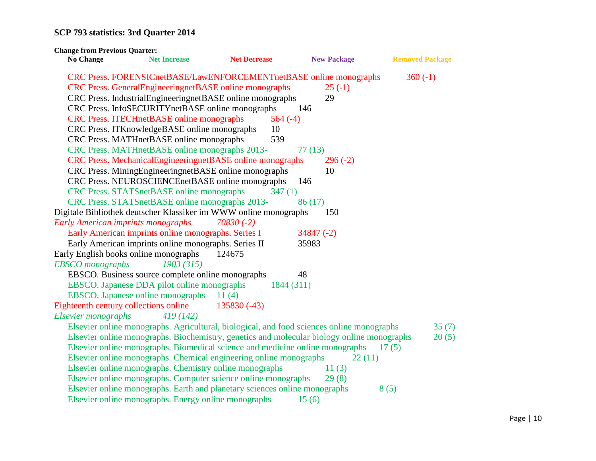| <b>Change from Previous Quarter:</b>      |                                                                                            |                     |                    |                        |
|-------------------------------------------|--------------------------------------------------------------------------------------------|---------------------|--------------------|------------------------|
| <b>No Change</b>                          | <b>Net Increase</b>                                                                        | <b>Net Decrease</b> | <b>New Package</b> | <b>Removed Package</b> |
|                                           | CRC Press. FORENSICnetBASE/LawENFORCEMENTnetBASE online monographs                         |                     |                    | $360(-1)$              |
|                                           | CRC Press. GeneralEngineeringnetBASE online monographs                                     |                     | $25(-1)$           |                        |
|                                           | CRC Press. IndustrialEngineeringnetBASE online monographs                                  |                     | 29                 |                        |
|                                           | CRC Press. InfoSECURITYnetBASE online monographs                                           |                     | 146                |                        |
|                                           | CRC Press. ITECHnetBASE online monographs                                                  | $564(-4)$           |                    |                        |
|                                           | CRC Press. ITKnowledgeBASE online monographs                                               | 10                  |                    |                        |
|                                           | CRC Press. MATHnetBASE online monographs                                                   | 539                 |                    |                        |
|                                           | CRC Press. MATHnetBASE online monographs 2013-                                             |                     | 77(13)             |                        |
|                                           | CRC Press. MechanicalEngineeringnetBASE online monographs                                  |                     | $296(-2)$          |                        |
|                                           | CRC Press. MiningEngineeringnetBASE online monographs                                      |                     | 10                 |                        |
|                                           | CRC Press. NEUROSCIENCEnetBASE online monographs                                           |                     | 146                |                        |
|                                           | CRC Press. STATSnetBASE online monographs                                                  | 347(1)              |                    |                        |
|                                           | CRC Press. STATSnetBASE online monographs 2013-                                            |                     | 86(17)             |                        |
|                                           | Digitale Bibliothek deutscher Klassiker im WWW online monographs                           |                     | 150                |                        |
| <b>Early American imprints monographs</b> |                                                                                            | $70830(-2)$         |                    |                        |
|                                           | Early American imprints online monographs. Series I                                        |                     | $34847(-2)$        |                        |
|                                           | Early American imprints online monographs. Series II                                       |                     | 35983              |                        |
|                                           | Early English books online monographs                                                      | 124675              |                    |                        |
| <b>EBSCO</b> monographs                   | 1903 (315)                                                                                 |                     |                    |                        |
|                                           | EBSCO. Business source complete online monographs                                          |                     | 48                 |                        |
|                                           | EBSCO. Japanese DDA pilot online monographs                                                | 1844 (311)          |                    |                        |
|                                           | EBSCO. Japanese online monographs                                                          | 11(4)               |                    |                        |
| Eighteenth century collections online     |                                                                                            | $135830(-43)$       |                    |                        |
| Elsevier monographs                       | 419 (142)                                                                                  |                     |                    |                        |
|                                           | Elsevier online monographs. Agricultural, biological, and food sciences online monographs  |                     |                    | 35(7)                  |
|                                           | Elsevier online monographs. Biochemistry, genetics and molecular biology online monographs |                     |                    | 20(5)                  |
|                                           | Elsevier online monographs. Biomedical science and medicine online monographs              |                     |                    | 17(5)                  |
|                                           | Elsevier online monographs. Chemical engineering online monographs                         |                     | 22(11)             |                        |
|                                           | Elsevier online monographs. Chemistry online monographs                                    |                     | 11(3)              |                        |
|                                           | Elsevier online monographs. Computer science online monographs                             |                     | 29(8)              |                        |
|                                           | Elsevier online monographs. Earth and planetary sciences online monographs                 |                     |                    | 8(5)                   |
|                                           | Elsevier online monographs. Energy online monographs                                       |                     | 15(6)              |                        |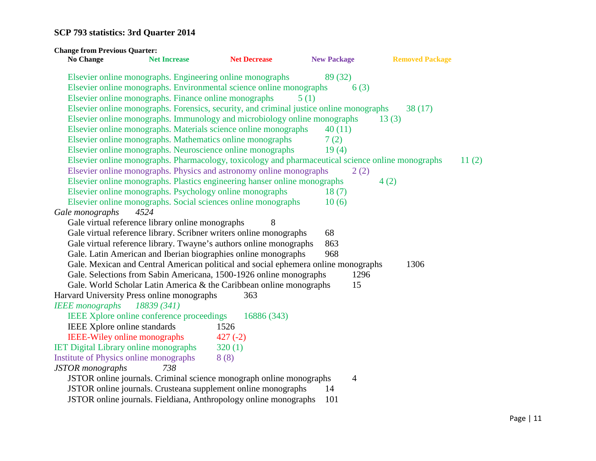| <b>Change from Previous Quarter:</b>         |                                                                                                   |                     |                    |                        |       |
|----------------------------------------------|---------------------------------------------------------------------------------------------------|---------------------|--------------------|------------------------|-------|
| <b>No Change</b>                             | <b>Net Increase</b>                                                                               | <b>Net Decrease</b> | <b>New Package</b> | <b>Removed Package</b> |       |
|                                              | Elsevier online monographs. Engineering online monographs                                         |                     | 89 (32)            |                        |       |
|                                              | Elsevier online monographs. Environmental science online monographs                               |                     | 6(3)               |                        |       |
|                                              | Elsevier online monographs. Finance online monographs                                             |                     | 5(1)               |                        |       |
|                                              | Elsevier online monographs. Forensics, security, and criminal justice online monographs           |                     |                    | 38(17)                 |       |
|                                              | Elsevier online monographs. Immunology and microbiology online monographs                         |                     |                    | 13(3)                  |       |
|                                              | Elsevier online monographs. Materials science online monographs                                   |                     | 40(11)             |                        |       |
|                                              | Elsevier online monographs. Mathematics online monographs                                         |                     | 7(2)               |                        |       |
|                                              | Elsevier online monographs. Neuroscience online monographs                                        |                     | 19(4)              |                        |       |
|                                              | Elsevier online monographs. Pharmacology, toxicology and pharmaceutical science online monographs |                     |                    |                        | 11(2) |
|                                              | Elsevier online monographs. Physics and astronomy online monographs                               |                     | 2(2)               |                        |       |
|                                              | Elsevier online monographs. Plastics engineering hanser online monographs                         |                     |                    | 4(2)                   |       |
|                                              | Elsevier online monographs. Psychology online monographs                                          |                     | 18(7)              |                        |       |
|                                              | Elsevier online monographs. Social sciences online monographs                                     |                     | 10(6)              |                        |       |
| Gale monographs                              | 4524                                                                                              |                     |                    |                        |       |
|                                              | Gale virtual reference library online monographs                                                  | 8                   |                    |                        |       |
|                                              | Gale virtual reference library. Scribner writers online monographs                                |                     | 68                 |                        |       |
|                                              | Gale virtual reference library. Twayne's authors online monographs                                |                     | 863                |                        |       |
|                                              | Gale. Latin American and Iberian biographies online monographs                                    |                     | 968                |                        |       |
|                                              | Gale. Mexican and Central American political and social ephemera online monographs                |                     |                    | 1306                   |       |
|                                              | Gale. Selections from Sabin Americana, 1500-1926 online monographs                                |                     | 1296               |                        |       |
|                                              | Gale. World Scholar Latin America & the Caribbean online monographs                               |                     | 15                 |                        |       |
| Harvard University Press online monographs   |                                                                                                   | 363                 |                    |                        |       |
| <b>IEEE</b> monographs                       | 18839 (341)                                                                                       |                     |                    |                        |       |
|                                              | IEEE Xplore online conference proceedings                                                         | 16886 (343)         |                    |                        |       |
| IEEE Xplore online standards                 |                                                                                                   | 1526                |                    |                        |       |
| <b>IEEE-Wiley online monographs</b>          |                                                                                                   | $427(-2)$           |                    |                        |       |
| <b>IET Digital Library online monographs</b> |                                                                                                   | 320(1)              |                    |                        |       |
| Institute of Physics online monographs       |                                                                                                   | 8(8)                |                    |                        |       |
| <b>JSTOR</b> monographs                      | 738                                                                                               |                     |                    |                        |       |
|                                              | JSTOR online journals. Criminal science monograph online monographs                               |                     | $\overline{4}$     |                        |       |
|                                              | JSTOR online journals. Crusteana supplement online monographs                                     |                     | 14                 |                        |       |
|                                              | JSTOR online journals. Fieldiana, Anthropology online monographs                                  |                     | 101                |                        |       |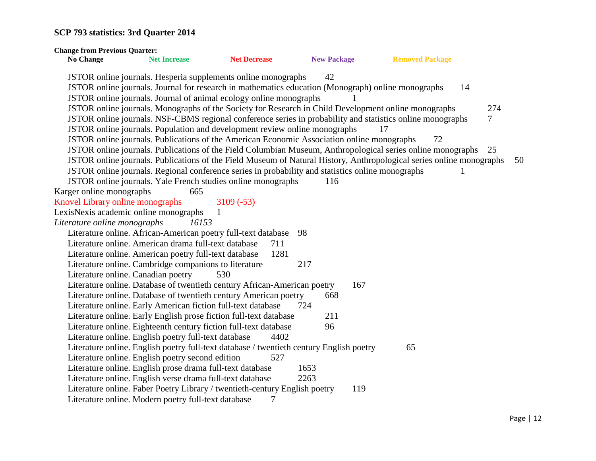| <b>Change from Previous Quarter:</b>  |                                                                                                                      |                     |                    |     |                        |     |
|---------------------------------------|----------------------------------------------------------------------------------------------------------------------|---------------------|--------------------|-----|------------------------|-----|
| <b>No Change</b>                      | <b>Net Increase</b>                                                                                                  | <b>Net Decrease</b> | <b>New Package</b> |     | <b>Removed Package</b> |     |
|                                       | JSTOR online journals. Hesperia supplements online monographs                                                        |                     | 42                 |     |                        |     |
|                                       | JSTOR online journals. Journal for research in mathematics education (Monograph) online monographs                   |                     |                    |     | 14                     |     |
|                                       | JSTOR online journals. Journal of animal ecology online monographs                                                   |                     |                    |     |                        |     |
|                                       | JSTOR online journals. Monographs of the Society for Research in Child Development online monographs                 |                     |                    |     |                        | 274 |
|                                       | JSTOR online journals. NSF-CBMS regional conference series in probability and statistics online monographs           |                     |                    |     |                        | 7   |
|                                       | JSTOR online journals. Population and development review online monographs                                           |                     |                    | 17  |                        |     |
|                                       | JSTOR online journals. Publications of the American Economic Association online monographs                           |                     |                    |     | 72                     |     |
|                                       | JSTOR online journals. Publications of the Field Columbian Museum, Anthropological series online monographs          |                     |                    |     |                        | 25  |
|                                       | JSTOR online journals. Publications of the Field Museum of Natural History, Anthropological series online monographs |                     |                    |     |                        | 50  |
|                                       | JSTOR online journals. Regional conference series in probability and statistics online monographs                    |                     |                    |     |                        |     |
|                                       | JSTOR online journals. Yale French studies online monographs                                                         |                     | 116                |     |                        |     |
| Karger online monographs              | 665                                                                                                                  |                     |                    |     |                        |     |
| Knovel Library online monographs      |                                                                                                                      | $3109(-53)$         |                    |     |                        |     |
| LexisNexis academic online monographs | 1                                                                                                                    |                     |                    |     |                        |     |
| Literature online monographs          | 16153                                                                                                                |                     |                    |     |                        |     |
|                                       | Literature online. African-American poetry full-text database                                                        |                     | 98                 |     |                        |     |
|                                       | Literature online. American drama full-text database                                                                 | 711                 |                    |     |                        |     |
|                                       | Literature online. American poetry full-text database                                                                | 1281                |                    |     |                        |     |
|                                       | Literature online. Cambridge companions to literature                                                                |                     | 217                |     |                        |     |
| Literature online. Canadian poetry    |                                                                                                                      | 530                 |                    |     |                        |     |
|                                       | Literature online. Database of twentieth century African-American poetry                                             |                     |                    | 167 |                        |     |
|                                       | Literature online. Database of twentieth century American poetry                                                     |                     | 668                |     |                        |     |
|                                       | Literature online. Early American fiction full-text database                                                         |                     | 724                |     |                        |     |
|                                       | Literature online. Early English prose fiction full-text database                                                    |                     | 211                |     |                        |     |
|                                       | Literature online. Eighteenth century fiction full-text database                                                     |                     | 96                 |     |                        |     |
|                                       | Literature online. English poetry full-text database                                                                 | 4402                |                    |     |                        |     |
|                                       | Literature online. English poetry full-text database / twentieth century English poetry                              |                     |                    |     | 65                     |     |
|                                       | Literature online. English poetry second edition                                                                     | 527                 |                    |     |                        |     |
|                                       | Literature online. English prose drama full-text database                                                            |                     | 1653               |     |                        |     |
|                                       | Literature online. English verse drama full-text database                                                            |                     | 2263               |     |                        |     |
|                                       | Literature online. Faber Poetry Library / twentieth-century English poetry                                           |                     |                    | 119 |                        |     |
|                                       | Literature online. Modern poetry full-text database                                                                  | 7                   |                    |     |                        |     |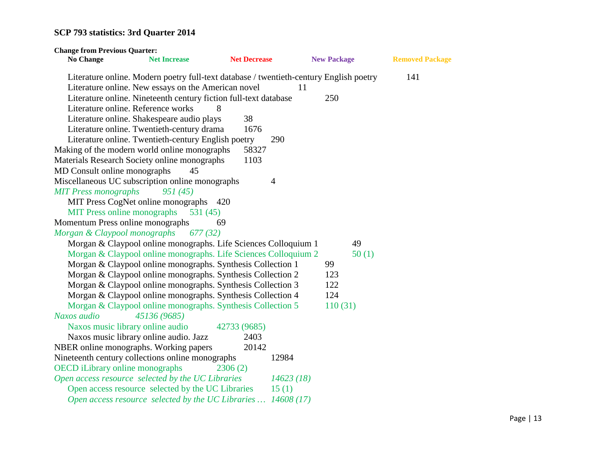| <b>Change from Previous Quarter:</b>   |                                                                                                                                               |                     |                    |                        |
|----------------------------------------|-----------------------------------------------------------------------------------------------------------------------------------------------|---------------------|--------------------|------------------------|
| <b>No Change</b>                       | <b>Net Increase</b>                                                                                                                           | <b>Net Decrease</b> | <b>New Package</b> | <b>Removed Package</b> |
|                                        | Literature online. Modern poetry full-text database / twentieth-century English poetry<br>Literature online. New essays on the American novel |                     | 11                 | 141                    |
|                                        | Literature online. Nineteenth century fiction full-text database                                                                              |                     | 250                |                        |
|                                        | Literature online. Reference works                                                                                                            | 8                   |                    |                        |
|                                        | Literature online. Shakespeare audio plays                                                                                                    | 38                  |                    |                        |
|                                        | Literature online. Twentieth-century drama                                                                                                    | 1676                |                    |                        |
|                                        | Literature online. Twentieth-century English poetry                                                                                           | 290                 |                    |                        |
|                                        | Making of the modern world online monographs                                                                                                  | 58327               |                    |                        |
|                                        | Materials Research Society online monographs                                                                                                  | 1103                |                    |                        |
| MD Consult online monographs           | 45                                                                                                                                            |                     |                    |                        |
|                                        | Miscellaneous UC subscription online monographs                                                                                               | $\overline{4}$      |                    |                        |
| <b>MIT Press monographs</b>            | 951(45)                                                                                                                                       |                     |                    |                        |
|                                        | MIT Press CogNet online monographs 420                                                                                                        |                     |                    |                        |
| <b>MIT Press online monographs</b>     | 531(45)                                                                                                                                       |                     |                    |                        |
| Momentum Press online monographs       |                                                                                                                                               | 69                  |                    |                        |
| Morgan & Claypool monographs           | 677(32)                                                                                                                                       |                     |                    |                        |
|                                        | Morgan & Claypool online monographs. Life Sciences Colloquium 1                                                                               |                     | 49                 |                        |
|                                        | Morgan & Claypool online monographs. Life Sciences Colloquium 2                                                                               |                     |                    | 50(1)                  |
|                                        | Morgan & Claypool online monographs. Synthesis Collection 1                                                                                   |                     | 99                 |                        |
|                                        | Morgan & Claypool online monographs. Synthesis Collection 2                                                                                   |                     | 123                |                        |
|                                        | Morgan & Claypool online monographs. Synthesis Collection 3                                                                                   |                     | 122                |                        |
|                                        | Morgan & Claypool online monographs. Synthesis Collection 4                                                                                   |                     | 124                |                        |
|                                        | Morgan & Claypool online monographs. Synthesis Collection 5                                                                                   |                     | 110(31)            |                        |
| Naxos audio                            | 45136 (9685)                                                                                                                                  |                     |                    |                        |
|                                        | Naxos music library online audio                                                                                                              | 42733 (9685)        |                    |                        |
|                                        | Naxos music library online audio. Jazz                                                                                                        | 2403                |                    |                        |
|                                        | NBER online monographs. Working papers                                                                                                        | 20142               |                    |                        |
|                                        | Nineteenth century collections online monographs                                                                                              | 12984               |                    |                        |
| <b>OECD</b> iLibrary online monographs |                                                                                                                                               | 2306(2)             |                    |                        |
|                                        | Open access resource selected by the UC Libraries                                                                                             | 14623(18)           |                    |                        |
|                                        | Open access resource selected by the UC Libraries                                                                                             | 15(1)               |                    |                        |
|                                        | Open access resource selected by the UC Libraries  14608 (17)                                                                                 |                     |                    |                        |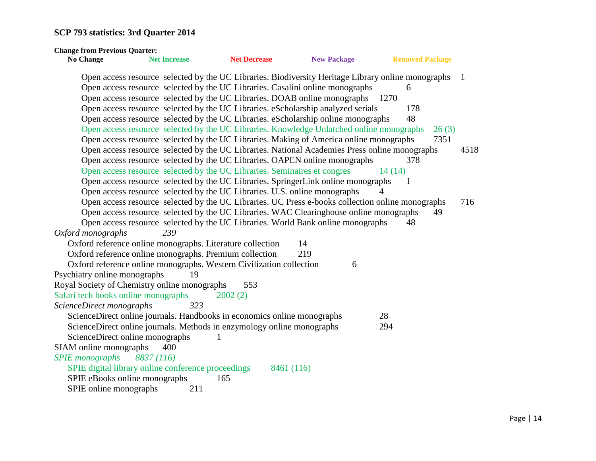| <b>Change from Previous Quarter:</b>         |                                                                           |                     |                                                                                                    |                        |      |
|----------------------------------------------|---------------------------------------------------------------------------|---------------------|----------------------------------------------------------------------------------------------------|------------------------|------|
| <b>No Change</b>                             | <b>Net Increase</b>                                                       | <b>Net Decrease</b> | <b>New Package</b>                                                                                 | <b>Removed Package</b> |      |
|                                              |                                                                           |                     | Open access resource selected by the UC Libraries. Biodiversity Heritage Library online monographs |                        | -1   |
|                                              |                                                                           |                     | Open access resource selected by the UC Libraries. Casalini online monographs                      | 6                      |      |
|                                              |                                                                           |                     | Open access resource selected by the UC Libraries. DOAB online monographs                          | 1270                   |      |
|                                              |                                                                           |                     | Open access resource selected by the UC Libraries. eScholarship analyzed serials                   | 178                    |      |
|                                              |                                                                           |                     | Open access resource selected by the UC Libraries. eScholarship online monographs                  | 48                     |      |
|                                              |                                                                           |                     | Open access resource selected by the UC Libraries. Knowledge Unlatched online monographs           | 26(3)                  |      |
|                                              |                                                                           |                     | Open access resource selected by the UC Libraries. Making of America online monographs             | 7351                   |      |
|                                              |                                                                           |                     | Open access resource selected by the UC Libraries. National Academies Press online monographs      |                        | 4518 |
|                                              |                                                                           |                     | Open access resource selected by the UC Libraries. OAPEN online monographs                         | 378                    |      |
|                                              | Open access resource selected by the UC Libraries. Seminaires et congres  |                     |                                                                                                    | 14(14)                 |      |
|                                              |                                                                           |                     | Open access resource selected by the UC Libraries. SpringerLink online monographs                  | -1                     |      |
|                                              | Open access resource selected by the UC Libraries. U.S. online monographs |                     |                                                                                                    |                        |      |
|                                              |                                                                           |                     | Open access resource selected by the UC Libraries. UC Press e-books collection online monographs   |                        | 716  |
|                                              |                                                                           |                     | Open access resource selected by the UC Libraries. WAC Clearinghouse online monographs             | 49                     |      |
|                                              |                                                                           |                     | Open access resource selected by the UC Libraries. World Bank online monographs                    | 48                     |      |
| Oxford monographs                            | 239                                                                       |                     |                                                                                                    |                        |      |
|                                              | Oxford reference online monographs. Literature collection                 |                     | 14                                                                                                 |                        |      |
|                                              | Oxford reference online monographs. Premium collection                    |                     | 219                                                                                                |                        |      |
|                                              | Oxford reference online monographs. Western Civilization collection       |                     | 6                                                                                                  |                        |      |
| Psychiatry online monographs                 | 19                                                                        |                     |                                                                                                    |                        |      |
| Royal Society of Chemistry online monographs |                                                                           | 553                 |                                                                                                    |                        |      |
| Safari tech books online monographs          |                                                                           | 2002(2)             |                                                                                                    |                        |      |
| ScienceDirect monographs                     | 323                                                                       |                     |                                                                                                    |                        |      |
|                                              | ScienceDirect online journals. Handbooks in economics online monographs   |                     |                                                                                                    | 28                     |      |
|                                              | ScienceDirect online journals. Methods in enzymology online monographs    |                     |                                                                                                    | 294                    |      |
| ScienceDirect online monographs              |                                                                           |                     |                                                                                                    |                        |      |
| SIAM online monographs                       | 400                                                                       |                     |                                                                                                    |                        |      |
| <b>SPIE</b> monographs                       | 8837 (116)                                                                |                     |                                                                                                    |                        |      |
|                                              | SPIE digital library online conference proceedings                        |                     | 8461 (116)                                                                                         |                        |      |
| SPIE eBooks online monographs                |                                                                           | 165                 |                                                                                                    |                        |      |
| SPIE online monographs                       | 211                                                                       |                     |                                                                                                    |                        |      |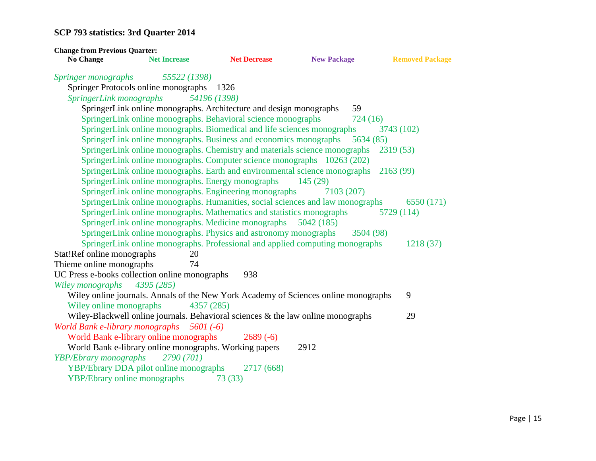| <b>Change from Previous Quarter:</b>                    |                                                                                                                                                                                                  |                      |                                                                                                           |                          |
|---------------------------------------------------------|--------------------------------------------------------------------------------------------------------------------------------------------------------------------------------------------------|----------------------|-----------------------------------------------------------------------------------------------------------|--------------------------|
| <b>No Change</b>                                        | <b>Net Increase</b>                                                                                                                                                                              | <b>Net Decrease</b>  | <b>New Package</b>                                                                                        | <b>Removed Package</b>   |
| <i>Springer monographs</i><br>SpringerLink monographs   | 55522 (1398)<br>Springer Protocols online monographs<br>54196 (1398)<br>SpringerLink online monographs. Architecture and design monographs                                                       | 1326                 | 59                                                                                                        |                          |
|                                                         | SpringerLink online monographs. Behavioral science monographs<br>SpringerLink online monographs. Biomedical and life sciences monographs                                                         |                      | 724(16)                                                                                                   | 3743 (102)               |
|                                                         | SpringerLink online monographs. Business and economics monographs<br>SpringerLink online monographs. Computer science monographs 10263 (202)                                                     |                      | 5634 (85)<br>SpringerLink online monographs. Chemistry and materials science monographs                   | 2319 (53)                |
|                                                         | SpringerLink online monographs. Energy monographs<br>SpringerLink online monographs. Engineering monographs                                                                                      |                      | SpringerLink online monographs. Earth and environmental science monographs<br>145(29)<br>7103 (207)       | 2163(99)                 |
|                                                         | SpringerLink online monographs. Mathematics and statistics monographs<br>SpringerLink online monographs. Medicine monographs<br>SpringerLink online monographs. Physics and astronomy monographs |                      | SpringerLink online monographs. Humanities, social sciences and law monographs<br>5042 (185)<br>3504 (98) | 6550 (171)<br>5729 (114) |
| Stat!Ref online monographs                              | 20                                                                                                                                                                                               |                      | SpringerLink online monographs. Professional and applied computing monographs                             | 1218 (37)                |
| Thieme online monographs<br>Wiley monographs 4395 (285) | 74<br>UC Press e-books collection online monographs                                                                                                                                              | 938                  |                                                                                                           |                          |
| Wiley online monographs                                 | 4357 (285)                                                                                                                                                                                       |                      | Wiley online journals. Annals of the New York Academy of Sciences online monographs                       | 9                        |
|                                                         | Wiley-Blackwell online journals. Behavioral sciences & the law online monographs<br>World Bank e-library monographs 5601 (-6)                                                                    |                      |                                                                                                           | 29                       |
| YBP/Ebrary monographs                                   | World Bank e-library online monographs<br>World Bank e-library online monographs. Working papers<br>2790 (701)                                                                                   | $2689(-6)$           | 2912                                                                                                      |                          |
| <b>YBP/Ebrary online monographs</b>                     | YBP/Ebrary DDA pilot online monographs                                                                                                                                                           | 2717 (668)<br>73(33) |                                                                                                           |                          |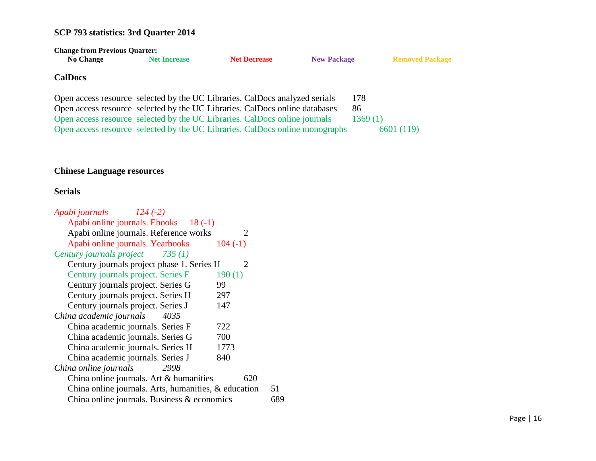| <b>Change from Previous Quarter:</b>                                         |                     |                     |                    |                        |  |
|------------------------------------------------------------------------------|---------------------|---------------------|--------------------|------------------------|--|
| <b>No Change</b>                                                             | <b>Net Increase</b> | <b>Net Decrease</b> | <b>New Package</b> | <b>Removed Package</b> |  |
| <b>CalDocs</b>                                                               |                     |                     |                    |                        |  |
| Open access resource selected by the UC Libraries. CalDocs analyzed serials  |                     |                     |                    | 178                    |  |
| Open access resource selected by the UC Libraries. CalDocs online databases  |                     |                     |                    | 86                     |  |
| Open access resource selected by the UC Libraries. CalDocs online journals   |                     |                     |                    | 1369(1)                |  |
| Open access resource selected by the UC Libraries. CalDocs online monographs |                     |                     |                    | 6601 (119)             |  |

#### **Chinese Language resources**

#### **Serials**

| Apabi journals 124 (-2)                              |                             |
|------------------------------------------------------|-----------------------------|
| Apabi online journals. Ebooks 18 (-1)                |                             |
| Apabi online journals. Reference works               | $\mathcal{D}_{\mathcal{A}}$ |
| Apabi online journals. Yearbooks                     | $104(-1)$                   |
| Century journals project 735 (1)                     |                             |
| Century journals project phase 1. Series H           | $\mathcal{D}_{\mathcal{A}}$ |
| Century journals project. Series F                   | 190(1)                      |
| Century journals project. Series G                   | 99                          |
| Century journals project. Series H                   | 297                         |
| Century journals project. Series J                   | 147                         |
| China academic journals<br>4035                      |                             |
| China academic journals. Series F                    | 722                         |
| China academic journals. Series G                    | 700                         |
| China academic journals. Series H                    | 1773                        |
| China academic journals. Series J                    | 840                         |
| China online journals<br>2998                        |                             |
| China online journals. Art & humanities              | 620                         |
| China online journals. Arts, humanities, & education | 51                          |
| China online journals. Business & economics          | 689                         |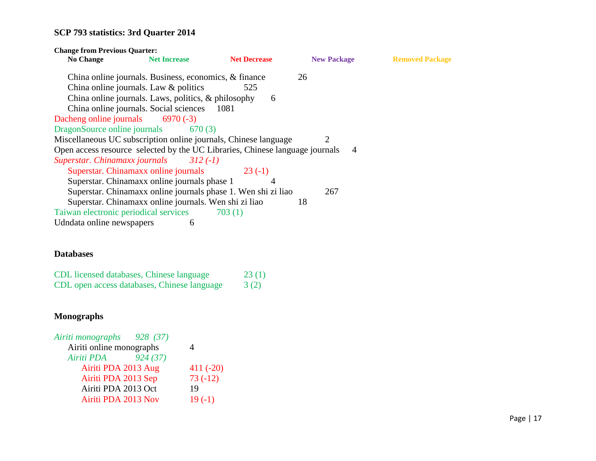| <b>Change from Previous Quarter:</b>                                         |                                                        |                                                               |                    |                        |
|------------------------------------------------------------------------------|--------------------------------------------------------|---------------------------------------------------------------|--------------------|------------------------|
| <b>No Change</b>                                                             | <b>Net Increase</b>                                    | <b>Net Decrease</b>                                           | <b>New Package</b> | <b>Removed Package</b> |
|                                                                              | China online journals. Business, economics, & finance  |                                                               | 26                 |                        |
|                                                                              | China online journals. Law & politics                  | 525                                                           |                    |                        |
|                                                                              | China online journals. Laws, politics, $\&$ philosophy | 6                                                             |                    |                        |
|                                                                              | China online journals. Social sciences 1081            |                                                               |                    |                        |
| Dacheng online journals $6970(-3)$                                           |                                                        |                                                               |                    |                        |
| DragonSource online journals 670 (3)                                         |                                                        |                                                               |                    |                        |
| Miscellaneous UC subscription online journals, Chinese language              |                                                        |                                                               | 2                  |                        |
| Open access resource selected by the UC Libraries, Chinese language journals |                                                        |                                                               | $\overline{4}$     |                        |
| Superstar. Chinamaxx journals                                                | $312(-1)$                                              |                                                               |                    |                        |
|                                                                              | Superstar. Chinamaxx online journals                   | $23(-1)$                                                      |                    |                        |
|                                                                              | Superstar. Chinamaxx online journals phase 1           | 4                                                             |                    |                        |
|                                                                              |                                                        | Superstar. Chinamaxx online journals phase 1. Wen shi zi liao | 267                |                        |
|                                                                              | Superstar. Chinamaxx online journals. Wen shi zi liao  |                                                               | 18                 |                        |
| Taiwan electronic periodical services                                        |                                                        | 703(1)                                                        |                    |                        |
| Udndata online newspapers                                                    | 6                                                      |                                                               |                    |                        |

#### **Databases**

| CDL licensed databases, Chinese language    | 23(1) |
|---------------------------------------------|-------|
| CDL open access databases, Chinese language | 3(2)  |

#### **Monographs**

| Airiti monographs<br>928 (37) |            |
|-------------------------------|------------|
| Airiti online monographs      |            |
| 924(37)<br>Airiti PDA         |            |
| Airiti PDA 2013 Aug           | $411(-20)$ |
| Airiti PDA 2013 Sep           | $73(-12)$  |
| Airiti PDA 2013 Oct           | 19         |
| Airiti PDA 2013 Nov           | $19(-1)$   |
|                               |            |